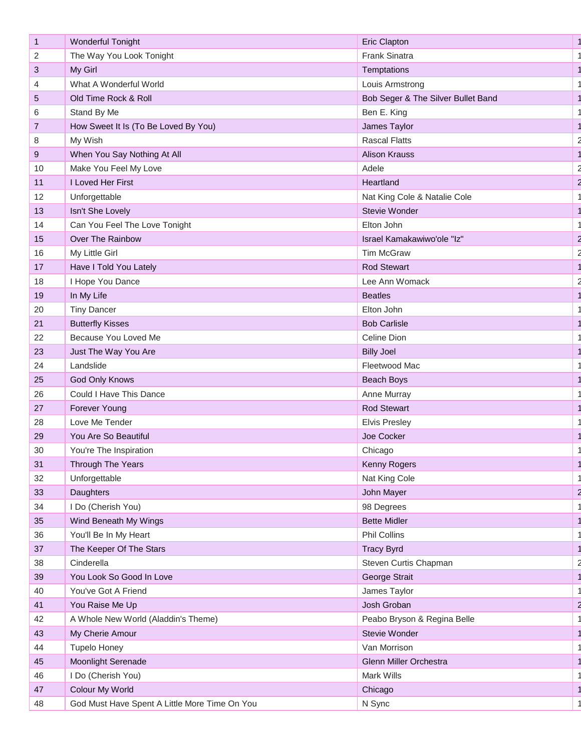| $\mathbf{1}$   | <b>Wonderful Tonight</b>                      | <b>Eric Clapton</b>                |  |
|----------------|-----------------------------------------------|------------------------------------|--|
| 2              | The Way You Look Tonight                      | Frank Sinatra                      |  |
| 3              | My Girl                                       | Temptations                        |  |
| 4              | What A Wonderful World                        | Louis Armstrong                    |  |
| $\sqrt{5}$     | Old Time Rock & Roll                          | Bob Seger & The Silver Bullet Band |  |
| 6              | Stand By Me                                   | Ben E. King                        |  |
| $\overline{7}$ | How Sweet It Is (To Be Loved By You)          | James Taylor                       |  |
| 8              | My Wish                                       | <b>Rascal Flatts</b>               |  |
| 9              | When You Say Nothing At All                   | <b>Alison Krauss</b>               |  |
| 10             | Make You Feel My Love                         | Adele                              |  |
| 11             | I Loved Her First                             | Heartland                          |  |
| 12             | Unforgettable                                 | Nat King Cole & Natalie Cole       |  |
| 13             | Isn't She Lovely                              | Stevie Wonder                      |  |
| 14             | Can You Feel The Love Tonight                 | Elton John                         |  |
| 15             | Over The Rainbow                              | Israel Kamakawiwo'ole "Iz"         |  |
| 16             | My Little Girl                                | <b>Tim McGraw</b>                  |  |
| 17             | Have I Told You Lately                        | <b>Rod Stewart</b>                 |  |
| 18             | I Hope You Dance                              | Lee Ann Womack                     |  |
| 19             | In My Life                                    | <b>Beatles</b>                     |  |
| 20             | <b>Tiny Dancer</b>                            | Elton John                         |  |
| 21             | <b>Butterfly Kisses</b>                       | <b>Bob Carlisle</b>                |  |
| 22             | Because You Loved Me                          | Celine Dion                        |  |
| 23             | Just The Way You Are                          | <b>Billy Joel</b>                  |  |
| 24             | Landslide                                     | Fleetwood Mac                      |  |
| 25             | <b>God Only Knows</b>                         | <b>Beach Boys</b>                  |  |
| 26             | Could I Have This Dance                       | Anne Murray                        |  |
| 27             | Forever Young                                 | <b>Rod Stewart</b>                 |  |
| 28             | Love Me Tender                                | <b>Elvis Presley</b>               |  |
| 29             | You Are So Beautiful                          | Joe Cocker                         |  |
| 30             | You're The Inspiration                        | Chicago                            |  |
| 31             | Through The Years                             | Kenny Rogers                       |  |
| 32             | Unforgettable                                 | Nat King Cole                      |  |
| 33             | Daughters                                     | John Mayer                         |  |
| 34             | I Do (Cherish You)                            | 98 Degrees                         |  |
| 35             | Wind Beneath My Wings                         | <b>Bette Midler</b>                |  |
| 36             | You'll Be In My Heart                         | Phil Collins                       |  |
| 37             | The Keeper Of The Stars                       | <b>Tracy Byrd</b>                  |  |
| 38             | Cinderella                                    | Steven Curtis Chapman              |  |
| 39             | You Look So Good In Love                      | George Strait                      |  |
| 40             | You've Got A Friend                           | James Taylor                       |  |
| 41             | You Raise Me Up                               | Josh Groban                        |  |
| 42             | A Whole New World (Aladdin's Theme)           | Peabo Bryson & Regina Belle        |  |
| 43             | My Cherie Amour                               | Stevie Wonder                      |  |
| 44             | <b>Tupelo Honey</b>                           | Van Morrison                       |  |
| 45             | Moonlight Serenade                            | Glenn Miller Orchestra             |  |
| 46             | I Do (Cherish You)                            | Mark Wills                         |  |
| 47             | Colour My World                               | Chicago                            |  |
| 48             | God Must Have Spent A Little More Time On You | N Sync                             |  |
|                |                                               |                                    |  |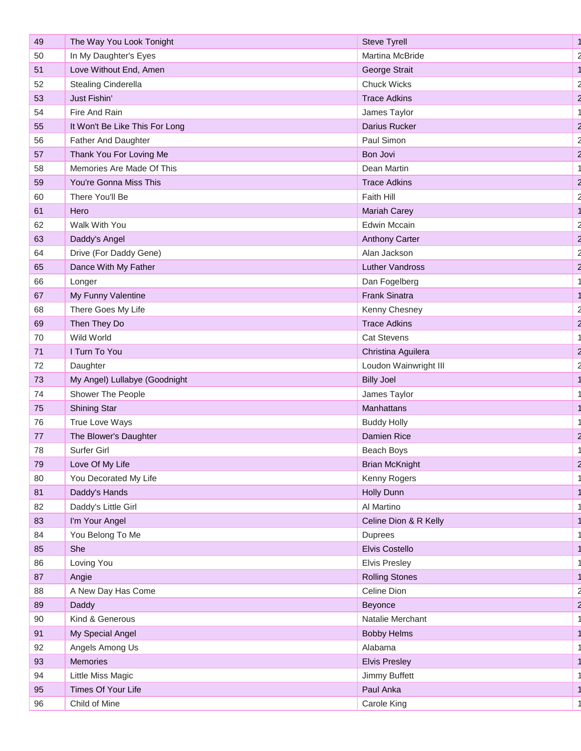| 49 | The Way You Look Tonight       | <b>Steve Tyrell</b>   |  |
|----|--------------------------------|-----------------------|--|
| 50 | In My Daughter's Eyes          | Martina McBride       |  |
| 51 | Love Without End, Amen         | George Strait         |  |
| 52 | <b>Stealing Cinderella</b>     | <b>Chuck Wicks</b>    |  |
| 53 | Just Fishin'                   | <b>Trace Adkins</b>   |  |
| 54 | Fire And Rain                  | James Taylor          |  |
| 55 | It Won't Be Like This For Long | Darius Rucker         |  |
| 56 | Father And Daughter            | Paul Simon            |  |
| 57 | Thank You For Loving Me        | Bon Jovi              |  |
| 58 | Memories Are Made Of This      | Dean Martin           |  |
| 59 | You're Gonna Miss This         | <b>Trace Adkins</b>   |  |
| 60 | There You'll Be                | Faith Hill            |  |
| 61 | Hero                           | <b>Mariah Carey</b>   |  |
| 62 | Walk With You                  | <b>Edwin Mccain</b>   |  |
| 63 | Daddy's Angel                  | <b>Anthony Carter</b> |  |
| 64 | Drive (For Daddy Gene)         | Alan Jackson          |  |
| 65 | Dance With My Father           | Luther Vandross       |  |
| 66 | Longer                         | Dan Fogelberg         |  |
| 67 | My Funny Valentine             | Frank Sinatra         |  |
| 68 | There Goes My Life             | Kenny Chesney         |  |
| 69 | Then They Do                   | <b>Trace Adkins</b>   |  |
| 70 | Wild World                     | <b>Cat Stevens</b>    |  |
| 71 | I Turn To You                  | Christina Aguilera    |  |
| 72 | Daughter                       | Loudon Wainwright III |  |
| 73 | My Angel) Lullabye (Goodnight  | <b>Billy Joel</b>     |  |
| 74 | Shower The People              | James Taylor          |  |
| 75 | <b>Shining Star</b>            | Manhattans            |  |
| 76 | True Love Ways                 | <b>Buddy Holly</b>    |  |
| 77 | The Blower's Daughter          | Damien Rice           |  |
| 78 | Surfer Girl                    | Beach Boys            |  |
| 79 | Love Of My Life                | <b>Brian McKnight</b> |  |
| 80 | You Decorated My Life          | Kenny Rogers          |  |
| 81 | Daddy's Hands                  | Holly Dunn            |  |
| 82 | Daddy's Little Girl            | Al Martino            |  |
| 83 | I'm Your Angel                 | Celine Dion & R Kelly |  |
| 84 | You Belong To Me               | <b>Duprees</b>        |  |
| 85 | She                            | Elvis Costello        |  |
| 86 | Loving You                     | <b>Elvis Presley</b>  |  |
| 87 | Angie                          | <b>Rolling Stones</b> |  |
| 88 | A New Day Has Come             | Celine Dion           |  |
| 89 | Daddy                          | Beyonce               |  |
| 90 | Kind & Generous                | Natalie Merchant      |  |
| 91 | My Special Angel               | <b>Bobby Helms</b>    |  |
| 92 | Angels Among Us                | Alabama               |  |
| 93 | Memories                       | <b>Elvis Presley</b>  |  |
| 94 | Little Miss Magic              | Jimmy Buffett         |  |
| 95 | Times Of Your Life             | Paul Anka             |  |
| 96 | Child of Mine                  | Carole King           |  |